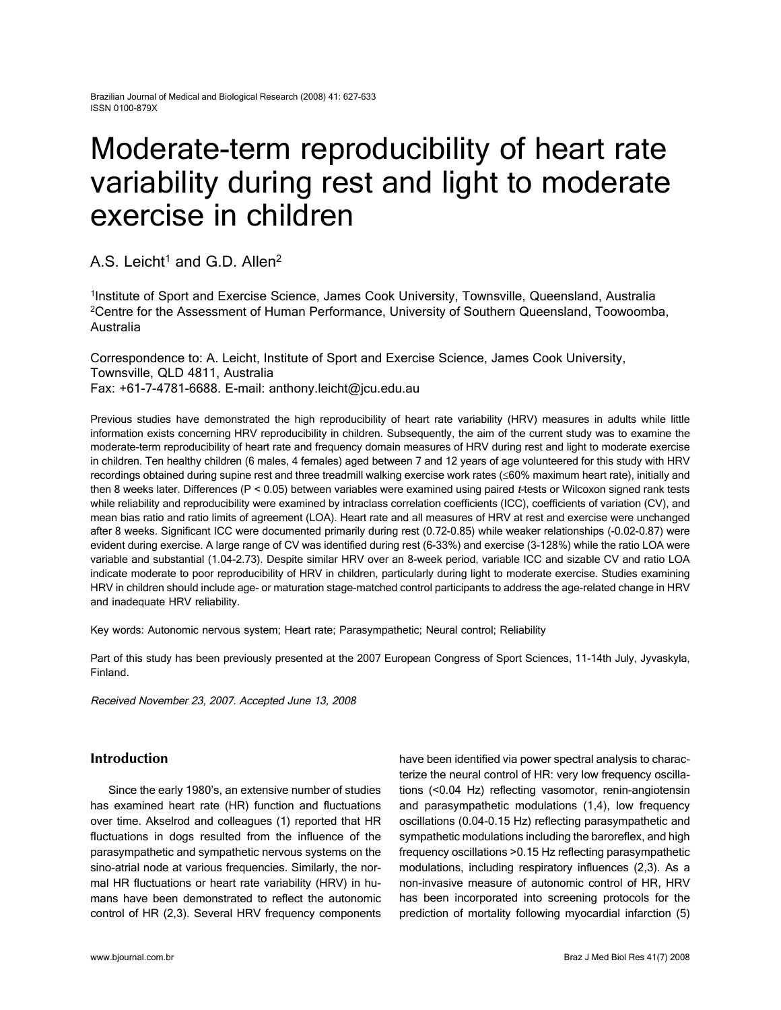# Moderate-term reproducibility of heart rate variability during rest and light to moderate exercise in children

A.S. Leicht<sup>1</sup> and G.D. Allen<sup>2</sup>

1Institute of Sport and Exercise Science, James Cook University, Townsville, Queensland, Australia 2Centre for the Assessment of Human Performance, University of Southern Queensland, Toowoomba, Australia

Correspondence to: A. Leicht, Institute of Sport and Exercise Science, James Cook University, Townsville, QLD 4811, Australia Fax: +61-7-4781-6688. E-mail: anthony.leicht@jcu.edu.au

Previous studies have demonstrated the high reproducibility of heart rate variability (HRV) measures in adults while little information exists concerning HRV reproducibility in children. Subsequently, the aim of the current study was to examine the moderate-term reproducibility of heart rate and frequency domain measures of HRV during rest and light to moderate exercise in children. Ten healthy children (6 males, 4 females) aged between 7 and 12 years of age volunteered for this study with HRV recordings obtained during supine rest and three treadmill walking exercise work rates (≤60% maximum heart rate), initially and then 8 weeks later. Differences (P < 0.05) between variables were examined using paired t-tests or Wilcoxon signed rank tests while reliability and reproducibility were examined by intraclass correlation coefficients (ICC), coefficients of variation (CV), and mean bias ratio and ratio limits of agreement (LOA). Heart rate and all measures of HRV at rest and exercise were unchanged after 8 weeks. Significant ICC were documented primarily during rest (0.72-0.85) while weaker relationships (-0.02-0.87) were evident during exercise. A large range of CV was identified during rest (6-33%) and exercise (3-128%) while the ratio LOA were variable and substantial (1.04-2.73). Despite similar HRV over an 8-week period, variable ICC and sizable CV and ratio LOA indicate moderate to poor reproducibility of HRV in children, particularly during light to moderate exercise. Studies examining HRV in children should include age- or maturation stage-matched control participants to address the age-related change in HRV and inadequate HRV reliability.

Key words: Autonomic nervous system; Heart rate; Parasympathetic; Neural control; Reliability

Part of this study has been previously presented at the 2007 European Congress of Sport Sciences, 11-14th July, Jyvaskyla, Finland.

Received November 23, 2007. Accepted June 13, 2008

# **Introduction**

Since the early 1980's, an extensive number of studies has examined heart rate (HR) function and fluctuations over time. Akselrod and colleagues (1) reported that HR fluctuations in dogs resulted from the influence of the parasympathetic and sympathetic nervous systems on the sino-atrial node at various frequencies. Similarly, the normal HR fluctuations or heart rate variability (HRV) in humans have been demonstrated to reflect the autonomic control of HR (2,3). Several HRV frequency components have been identified via power spectral analysis to characterize the neural control of HR: very low frequency oscillations (<0.04 Hz) reflecting vasomotor, renin-angiotensin and parasympathetic modulations (1,4), low frequency oscillations (0.04-0.15 Hz) reflecting parasympathetic and sympathetic modulations including the baroreflex, and high frequency oscillations >0.15 Hz reflecting parasympathetic modulations, including respiratory influences (2,3). As a non-invasive measure of autonomic control of HR, HRV has been incorporated into screening protocols for the prediction of mortality following myocardial infarction (5)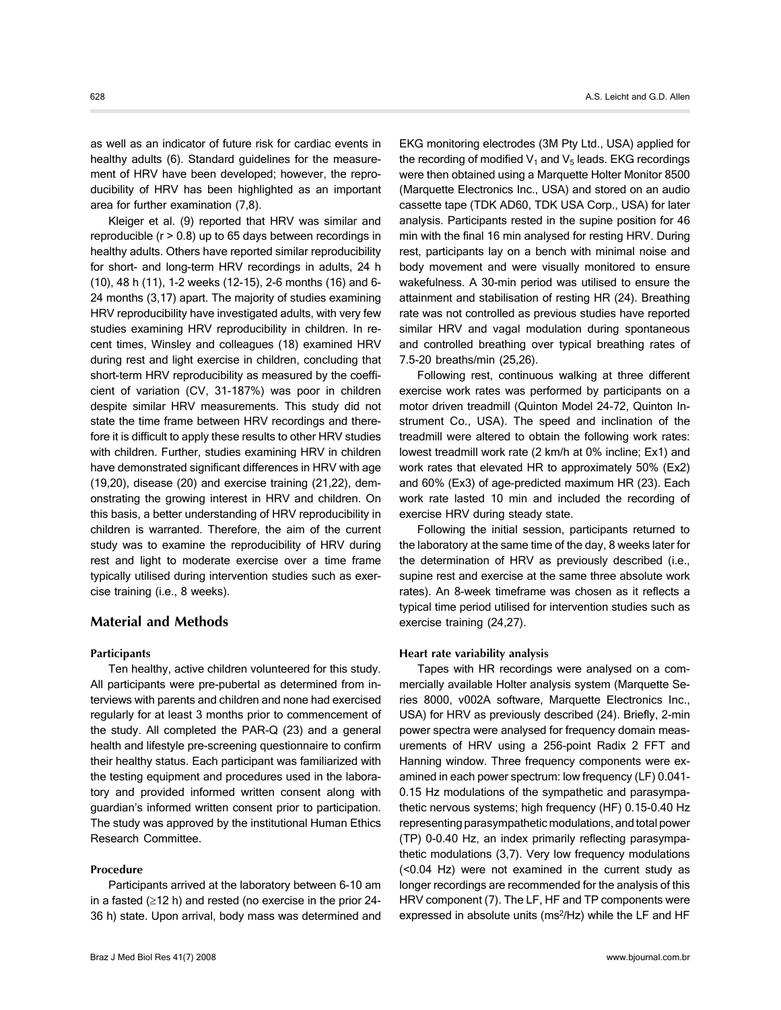as well as an indicator of future risk for cardiac events in healthy adults (6). Standard guidelines for the measurement of HRV have been developed; however, the reproducibility of HRV has been highlighted as an important area for further examination (7,8).

Kleiger et al. (9) reported that HRV was similar and reproducible  $(r > 0.8)$  up to 65 days between recordings in healthy adults. Others have reported similar reproducibility for short- and long-term HRV recordings in adults, 24 h (10), 48 h (11), 1-2 weeks (12-15), 2-6 months (16) and 6- 24 months (3,17) apart. The majority of studies examining HRV reproducibility have investigated adults, with very few studies examining HRV reproducibility in children. In recent times, Winsley and colleagues (18) examined HRV during rest and light exercise in children, concluding that short-term HRV reproducibility as measured by the coefficient of variation (CV, 31-187%) was poor in children despite similar HRV measurements. This study did not state the time frame between HRV recordings and therefore it is difficult to apply these results to other HRV studies with children. Further, studies examining HRV in children have demonstrated significant differences in HRV with age (19,20), disease (20) and exercise training (21,22), demonstrating the growing interest in HRV and children. On this basis, a better understanding of HRV reproducibility in children is warranted. Therefore, the aim of the current study was to examine the reproducibility of HRV during rest and light to moderate exercise over a time frame typically utilised during intervention studies such as exercise training (i.e., 8 weeks).

#### **Material and Methods**

#### **Participants**

Ten healthy, active children volunteered for this study. All participants were pre-pubertal as determined from interviews with parents and children and none had exercised regularly for at least 3 months prior to commencement of the study. All completed the PAR-Q (23) and a general health and lifestyle pre-screening questionnaire to confirm their healthy status. Each participant was familiarized with the testing equipment and procedures used in the laboratory and provided informed written consent along with guardian's informed written consent prior to participation. The study was approved by the institutional Human Ethics Research Committee.

#### **Procedure**

Participants arrived at the laboratory between 6-10 am in a fasted (≥12 h) and rested (no exercise in the prior 24- 36 h) state. Upon arrival, body mass was determined and EKG monitoring electrodes (3M Pty Ltd., USA) applied for the recording of modified  $V_1$  and  $V_5$  leads. EKG recordings were then obtained using a Marquette Holter Monitor 8500 (Marquette Electronics Inc., USA) and stored on an audio cassette tape (TDK AD60, TDK USA Corp., USA) for later analysis. Participants rested in the supine position for 46 min with the final 16 min analysed for resting HRV. During rest, participants lay on a bench with minimal noise and body movement and were visually monitored to ensure wakefulness. A 30-min period was utilised to ensure the attainment and stabilisation of resting HR (24). Breathing rate was not controlled as previous studies have reported similar HRV and vagal modulation during spontaneous and controlled breathing over typical breathing rates of 7.5-20 breaths/min (25,26).

Following rest, continuous walking at three different exercise work rates was performed by participants on a motor driven treadmill (Quinton Model 24-72, Quinton Instrument Co., USA). The speed and inclination of the treadmill were altered to obtain the following work rates: lowest treadmill work rate (2 km/h at 0% incline; Ex1) and work rates that elevated HR to approximately 50% (Ex2) and 60% (Ex3) of age-predicted maximum HR (23). Each work rate lasted 10 min and included the recording of exercise HRV during steady state.

Following the initial session, participants returned to the laboratory at the same time of the day, 8 weeks later for the determination of HRV as previously described (i.e., supine rest and exercise at the same three absolute work rates). An 8-week timeframe was chosen as it reflects a typical time period utilised for intervention studies such as exercise training (24,27).

#### **Heart rate variability analysis**

Tapes with HR recordings were analysed on a commercially available Holter analysis system (Marquette Series 8000, v002A software, Marquette Electronics Inc., USA) for HRV as previously described (24). Briefly, 2-min power spectra were analysed for frequency domain measurements of HRV using a 256-point Radix 2 FFT and Hanning window. Three frequency components were examined in each power spectrum: low frequency (LF) 0.041- 0.15 Hz modulations of the sympathetic and parasympathetic nervous systems; high frequency (HF) 0.15-0.40 Hz representing parasympathetic modulations, and total power (TP) 0-0.40 Hz, an index primarily reflecting parasympathetic modulations (3,7). Very low frequency modulations (<0.04 Hz) were not examined in the current study as longer recordings are recommended for the analysis of this HRV component (7). The LF, HF and TP components were expressed in absolute units (ms<sup>2</sup>/Hz) while the LF and HF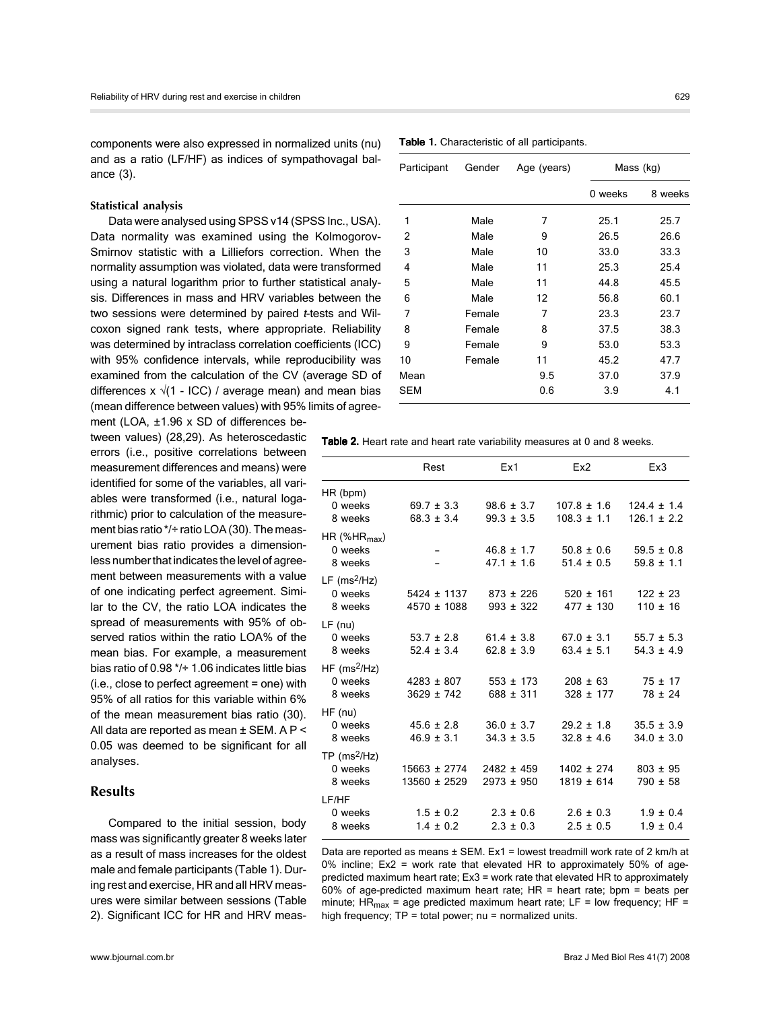components were also expressed in normalized units (nu) and as a ratio (LF/HF) as indices of sympathovagal balance (3).

#### **Statistical analysis**

Data were analysed using SPSS v14 (SPSS Inc., USA). Data normality was examined using the Kolmogorov-Smirnov statistic with a Lilliefors correction. When the normality assumption was violated, data were transformed using a natural logarithm prior to further statistical analysis. Differences in mass and HRV variables between the two sessions were determined by paired t-tests and Wilcoxon signed rank tests, where appropriate. Reliability was determined by intraclass correlation coefficients (ICC) with 95% confidence intervals, while reproducibility was examined from the calculation of the CV (average SD of differences x  $\sqrt{(1 - ICC)}$  / average mean) and mean bias (mean difference between values) with 95% limits of agree-

ment (LOA, ±1.96 x SD of differences between values) (28,29). As heteroscedastic errors (i.e., positive correlations between measurement differences and means) were identified for some of the variables, all variables were transformed (i.e., natural logarithmic) prior to calculation of the measurement bias ratio \*/÷ ratio LOA (30). The measurement bias ratio provides a dimensionless number that indicates the level of agreement between measurements with a value of one indicating perfect agreement. Similar to the CV, the ratio LOA indicates the spread of measurements with 95% of observed ratios within the ratio LOA% of the mean bias. For example, a measurement bias ratio of 0.98 \*/÷ 1.06 indicates little bias (i.e., close to perfect agreement = one) with 95% of all ratios for this variable within 6% of the mean measurement bias ratio (30). All data are reported as mean ± SEM. A P < 0.05 was deemed to be significant for all analyses.

## **Results**

Compared to the initial session, body mass was significantly greater 8 weeks later as a result of mass increases for the oldest male and female participants (Table 1). During rest and exercise, HR and all HRV measures were similar between sessions (Table 2). Significant ICC for HR and HRV meas-

| Participant | Gender | Age (years) | Mass (kg) |         |
|-------------|--------|-------------|-----------|---------|
|             |        |             | 0 weeks   | 8 weeks |
| 1           | Male   | 7           | 25.1      | 25.7    |
| 2           | Male   | 9           | 26.5      | 26.6    |
| 3           | Male   | 10          | 33.0      | 33.3    |
| 4           | Male   | 11          | 25.3      | 25.4    |
| 5           | Male   | 11          | 44.8      | 45.5    |
| 6           | Male   | 12          | 56.8      | 60.1    |
| 7           | Female | 7           | 23.3      | 23.7    |
| 8           | Female | 8           | 37.5      | 38.3    |
| 9           | Female | 9           | 53.0      | 53.3    |
| 10          | Female | 11          | 45.2      | 47.7    |
| Mean        |        | 9.5         | 37.0      | 37.9    |
| <b>SEM</b>  |        | 0.6         | 3.9       | 4.1     |

Table 1. Characteristic of all participants.

Table 2. Heart rate and heart rate variability measures at 0 and 8 weeks.

|                                                  | Rest                                 | Ex1                              | Ex2                                             | Ex3                                |
|--------------------------------------------------|--------------------------------------|----------------------------------|-------------------------------------------------|------------------------------------|
| HR (bpm)<br>0 weeks<br>8 weeks                   | $69.7 \pm 3.3$<br>$68.3 \pm 3.4$     | $98.6 \pm 3.7$<br>$99.3 \pm 3.5$ | $107.8 \pm 1.6$<br>$108.3 \pm 1.1$              | $124.4 \pm 1.4$<br>$126.1 \pm 2.2$ |
| HR (%HR $_{\sf max}$ )<br>0 weeks<br>8 weeks     |                                      | $47.1 \pm 1.6$                   | $46.8 \pm 1.7$ $50.8 \pm 0.6$<br>$51.4 \pm 0.5$ | $59.5 \pm 0.8$<br>$59.8 \pm 1.1$   |
| LF (ms <sup>2</sup> /Hz)<br>0 weeks<br>8 weeks   | 5424 ± 1137<br>$4570 \pm 1088$       | $873 \pm 226$<br>$993 \pm 322$   | $520 \pm 161$<br>$477 \pm 130$                  | $122 \pm 23$<br>$110 \pm 16$       |
| LF (nu)<br>0 weeks<br>8 weeks                    | $53.7 \pm 2.8$<br>$52.4 \pm 3.4$     | $61.4 \pm 3.8$<br>$62.8 \pm 3.9$ | $67.0 \pm 3.1$<br>$63.4 \pm 5.1$                | $55.7 \pm 5.3$<br>$54.3 \pm 4.9$   |
| $HF$ (ms <sup>2</sup> /Hz)<br>0 weeks<br>8 weeks | $4283 \pm 807$<br>$3629 \pm 742$     | $553 \pm 173$<br>$688 \pm 311$   | $208 \pm 63$<br>$328 \pm 177$                   | $75 \pm 17$<br>$78 \pm 24$         |
| HF (nu)<br>0 weeks<br>8 weeks                    | $45.6 \pm 2.8$<br>$46.9 \pm 3.1$     | $36.0 \pm 3.7$<br>$34.3 \pm 3.5$ | $29.2 \pm 1.8$<br>$32.8 \pm 4.6$                | $35.5 \pm 3.9$<br>$34.0 \pm 3.0$   |
| $TP$ (ms <sup>2</sup> /Hz)<br>0 weeks<br>8 weeks | $15663 \pm 2774$<br>$13560 \pm 2529$ | $2482 \pm 459$<br>$2973 \pm 950$ | $1402 \pm 274$<br>$1819 \pm 614$                | $803 \pm 95$<br>$790 \pm 58$       |
| LF/HF<br>0 weeks<br>8 weeks                      | $1.5 \pm 0.2$<br>$1.4 \pm 0.2$       | $2.3 \pm 0.6$<br>$2.3 \pm 0.3$   | $2.6 \pm 0.3$<br>$2.5 \pm 0.5$                  | $1.9 \pm 0.4$<br>$1.9 \pm 0.4$     |

Data are reported as means  $\pm$  SEM. Ex1 = lowest treadmill work rate of 2 km/h at 0% incline; Ex2 = work rate that elevated HR to approximately 50% of agepredicted maximum heart rate; Ex3 = work rate that elevated HR to approximately 60% of age-predicted maximum heart rate; HR = heart rate; bpm = beats per minute;  $HR_{max}$  = age predicted maximum heart rate; LF = low frequency; HF = high frequency;  $TP = total power$ ; nu = normalized units.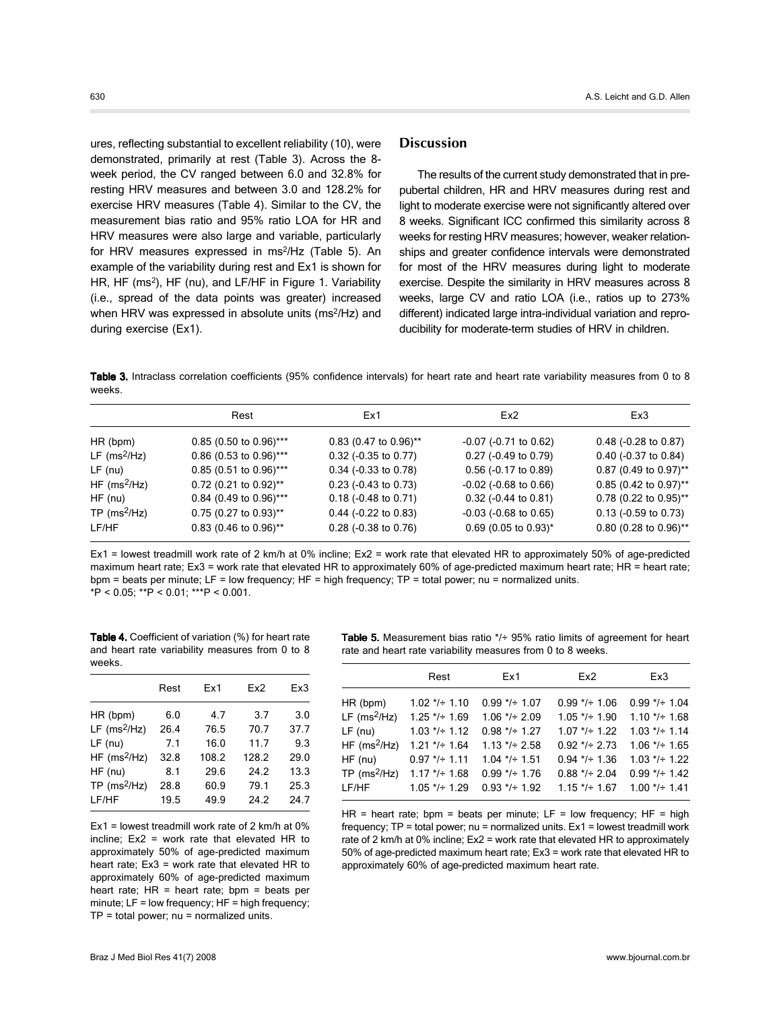ures, reflecting substantial to excellent reliability (10), were demonstrated, primarily at rest (Table 3). Across the 8 week period, the CV ranged between 6.0 and 32.8% for resting HRV measures and between 3.0 and 128.2% for exercise HRV measures (Table 4). Similar to the CV, the measurement bias ratio and 95% ratio LOA for HR and HRV measures were also large and variable, particularly for HRV measures expressed in ms<sup>2</sup>/Hz (Table 5). An example of the variability during rest and Ex1 is shown for HR, HF (ms<sup>2</sup>), HF (nu), and LF/HF in Figure 1. Variability (i.e., spread of the data points was greater) increased when HRV was expressed in absolute units (ms<sup>2</sup>/Hz) and during exercise (Ex1).

# **Discussion**

The results of the current study demonstrated that in prepubertal children, HR and HRV measures during rest and light to moderate exercise were not significantly altered over 8 weeks. Significant ICC confirmed this similarity across 8 weeks for resting HRV measures; however, weaker relationships and greater confidence intervals were demonstrated for most of the HRV measures during light to moderate exercise. Despite the similarity in HRV measures across 8 weeks, large CV and ratio LOA (i.e., ratios up to 273% different) indicated large intra-individual variation and reproducibility for moderate-term studies of HRV in children.

Table 3. Intraclass correlation coefficients (95% confidence intervals) for heart rate and heart rate variability measures from 0 to 8 weeks.

|                            | Rest                     | Ex1                                 | Ex <sub>2</sub>               | Ex3                                 |
|----------------------------|--------------------------|-------------------------------------|-------------------------------|-------------------------------------|
| HR (bpm)                   | $0.85$ (0.50 to 0.96)*** | $0.83$ (0.47 to 0.96) <sup>**</sup> | $-0.07$ ( $-0.71$ to $0.62$ ) | $0.48$ (-0.28 to 0.87)              |
| LF $(ms^2/Hz)$             | $0.86$ (0.53 to 0.96)*** | $0.32$ (-0.35 to 0.77)              | 0.27 (-0.49 to 0.79)          | $0.40$ (-0.37 to 0.84)              |
| $LF$ (nu)                  | $0.85(0.51 to 0.96)***$  | $0.34$ (-0.33 to 0.78)              | 0.56 (-0.17 to 0.89)          | $0.87$ (0.49 to 0.97)**             |
| HF ( $ms^2$ /Hz)           | $0.72$ (0.21 to 0.92)**  | $0.23$ (-0.43 to 0.73)              | $-0.02$ ( $-0.68$ to $0.66$ ) | $0.85$ (0.42 to 0.97) <sup>**</sup> |
| $HF$ (nu)                  | 0.84 (0.49 to 0.96)***   | $0.18$ (-0.48 to 0.71)              | $0.32$ (-0.44 to 0.81)        | $0.78$ (0.22 to 0.95)**             |
| $TP$ (ms <sup>2</sup> /Hz) | $0.75$ (0.27 to 0.93)**  | $0.44$ (-0.22 to 0.83)              | $-0.03$ ( $-0.68$ to $0.65$ ) | $0.13$ (-0.59 to 0.73)              |
| LF/HF                      | $0.83$ (0.46 to 0.96)**  | $0.28$ (-0.38 to 0.76)              | $0.69$ (0.05 to 0.93)*        | $0.80$ (0.28 to 0.96)**             |
|                            |                          |                                     |                               |                                     |

Ex1 = lowest treadmill work rate of 2 km/h at 0% incline; Ex2 = work rate that elevated HR to approximately 50% of age-predicted maximum heart rate; Ex3 = work rate that elevated HR to approximately 60% of age-predicted maximum heart rate; HR = heart rate; bpm = beats per minute; LF = low frequency; HF = high frequency; TP = total power; nu = normalized units. \*P < 0.05; \*\*P < 0.01; \*\*\*P < 0.001.

Table 4. Coefficient of variation (%) for heart rate and heart rate variability measures from 0 to 8 weeks.

|                            | Rest | Ex1   | Ex2   | Ex3  |
|----------------------------|------|-------|-------|------|
| HR (bpm)                   | 6.0  | 4.7   | 3.7   | 3.0  |
| LF $(ms^2/Hz)$             | 26.4 | 76.5  | 70.7  | 37.7 |
| $LF$ (nu)                  | 7.1  | 16.0  | 11.7  | 9.3  |
| $HF$ (ms <sup>2</sup> /Hz) | 32.8 | 108.2 | 128.2 | 29.0 |
| $HF$ (nu)                  | 8.1  | 29.6  | 24.2  | 13.3 |
| $TP$ (ms <sup>2</sup> /Hz) | 28.8 | 60.9  | 79.1  | 25.3 |
| LF/HF                      | 19.5 | 49.9  | 24.2  | 24.7 |
|                            |      |       |       |      |

Ex1 = lowest treadmill work rate of 2 km/h at 0% incline; Ex2 = work rate that elevated HR to approximately 50% of age-predicted maximum heart rate; Ex3 = work rate that elevated HR to approximately 60% of age-predicted maximum heart rate;  $HR = heart$  rate;  $bpm = beats$  per minute;  $LF = low frequency$ ;  $HF = high frequency$ ;  $TP = total power$ ; nu = normalized units.

**Table 5.** Measurement bias ratio  $*/+95\%$  ratio limits of agreement for heart rate and heart rate variability measures from 0 to 8 weeks.

|                            | Rest            | Ex1              | Ex2             | Ex3                   |
|----------------------------|-----------------|------------------|-----------------|-----------------------|
| HR (bpm)                   | $1.02$ */÷ 1.10 | $0.99 * + 1.07$  | $0.99 * + 1.06$ | $0.99 */- 1.04$       |
| $LF$ (ms <sup>2</sup> /Hz) | $1.25$ */÷ 1.69 | $1.06$ */÷ 2.09  | $1.05$ */÷ 1.90 | $1.10$ */ $\div$ 1.68 |
| $LF$ (nu)                  | $1.03$ */÷ 1.12 | $0.98$ */÷ 1.27  | $1.07$ */÷ 1.22 | $1.03$ */ $\div$ 1.14 |
| $HF$ (ms <sup>2</sup> /Hz) | $1.21 */- 1.64$ | $1.13$ */÷ 2.58  | $0.92$ */÷ 2.73 | $1.06$ */÷ 1.65       |
| $HF$ (nu)                  | $0.97 */- 1.11$ | $1.04$ */÷ 1.51  | $0.94$ */÷ 1.36 | $1.03$ */ $\div$ 1.22 |
| TP ( $ms^2/Hz$ )           | $1.17$ */÷ 1.68 | $0.99 * + 1.76$  | $0.88 */- 2.04$ | $0.99 * + 1.42$       |
| LF/HF                      | $1.05$ */÷ 1.29 | $0.93$ */ ÷ 1.92 | $1.15$ */÷ 1.67 | $1.00$ */÷ 1.41       |

HR = heart rate; bpm = beats per minute;  $LF = low frequency$ ; HF = high frequency; TP = total power; nu = normalized units. Ex1 = lowest treadmill work rate of 2 km/h at 0% incline; Ex2 = work rate that elevated HR to approximately 50% of age-predicted maximum heart rate; Ex3 = work rate that elevated HR to approximately 60% of age-predicted maximum heart rate.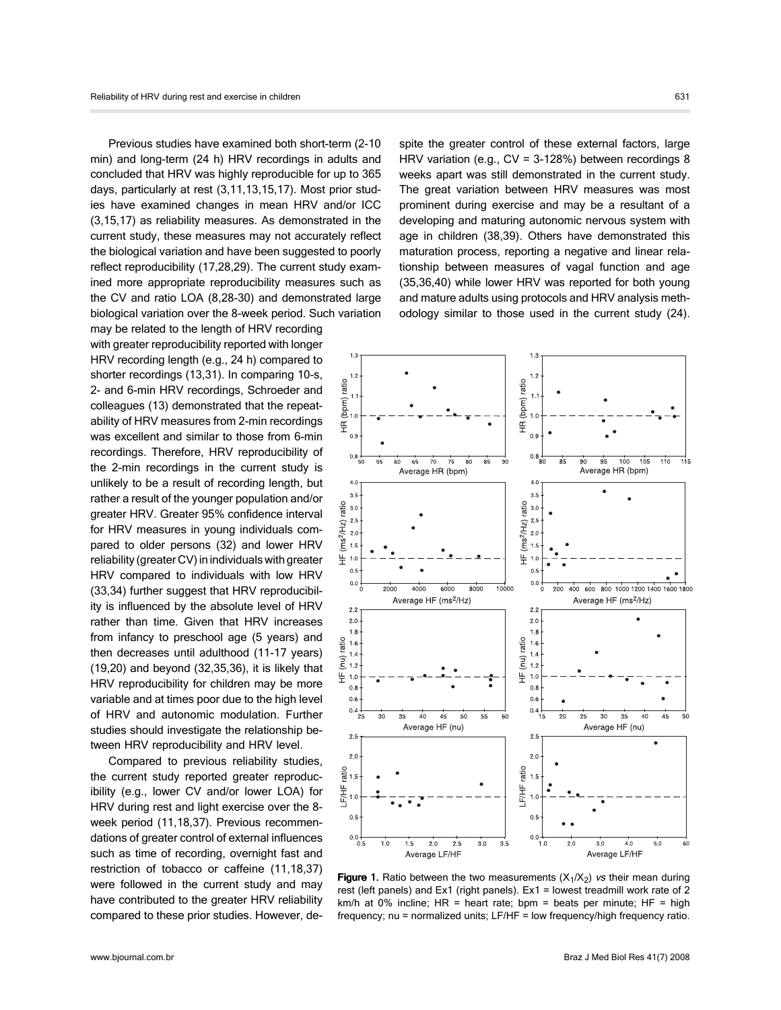Previous studies have examined both short-term (2-10 min) and long-term (24 h) HRV recordings in adults and concluded that HRV was highly reproducible for up to 365 days, particularly at rest (3,11,13,15,17). Most prior studies have examined changes in mean HRV and/or ICC (3,15,17) as reliability measures. As demonstrated in the current study, these measures may not accurately reflect the biological variation and have been suggested to poorly reflect reproducibility (17,28,29). The current study examined more appropriate reproducibility measures such as the CV and ratio LOA (8,28-30) and demonstrated large biological variation over the 8-week period. Such variation may be related to the length of HRV recording

with greater reproducibility reported with longer HRV recording length (e.g., 24 h) compared to shorter recordings (13,31). In comparing 10-s, 2- and 6-min HRV recordings, Schroeder and colleagues (13) demonstrated that the repeatability of HRV measures from 2-min recordings was excellent and similar to those from 6-min recordings. Therefore, HRV reproducibility of the 2-min recordings in the current study is unlikely to be a result of recording length, but rather a result of the younger population and/or greater HRV. Greater 95% confidence interval for HRV measures in young individuals compared to older persons (32) and lower HRV reliability (greater CV) in individuals with greater HRV compared to individuals with low HRV (33,34) further suggest that HRV reproducibility is influenced by the absolute level of HRV rather than time. Given that HRV increases from infancy to preschool age (5 years) and then decreases until adulthood (11-17 years) (19,20) and beyond (32,35,36), it is likely that HRV reproducibility for children may be more variable and at times poor due to the high level of HRV and autonomic modulation. Further studies should investigate the relationship between HRV reproducibility and HRV level.

Compared to previous reliability studies, the current study reported greater reproducibility (e.g., lower CV and/or lower LOA) for HRV during rest and light exercise over the 8 week period (11,18,37). Previous recommendations of greater control of external influences such as time of recording, overnight fast and restriction of tobacco or caffeine (11,18,37) were followed in the current study and may have contributed to the greater HRV reliability compared to these prior studies. However, despite the greater control of these external factors, large HRV variation (e.g., CV = 3-128%) between recordings 8 weeks apart was still demonstrated in the current study. The great variation between HRV measures was most prominent during exercise and may be a resultant of a developing and maturing autonomic nervous system with age in children (38,39). Others have demonstrated this maturation process, reporting a negative and linear relationship between measures of vagal function and age (35,36,40) while lower HRV was reported for both young and mature adults using protocols and HRV analysis methodology similar to those used in the current study (24).



**Figure 1.** Ratio between the two measurements  $(X_1/X_2)$  vs their mean during rest (left panels) and Ex1 (right panels). Ex1 = lowest treadmill work rate of 2 km/h at 0% incline; HR = heart rate; bpm = beats per minute; HF = high frequency; nu = normalized units; LF/HF = low frequency/high frequency ratio.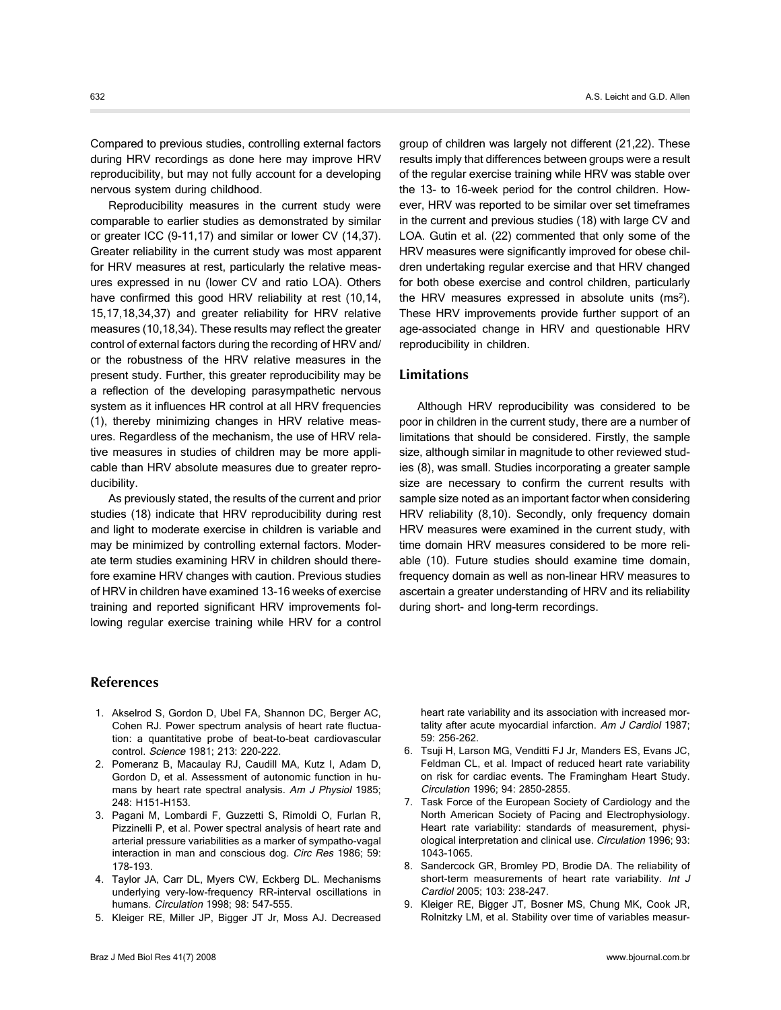Compared to previous studies, controlling external factors during HRV recordings as done here may improve HRV reproducibility, but may not fully account for a developing nervous system during childhood.

Reproducibility measures in the current study were comparable to earlier studies as demonstrated by similar or greater ICC (9-11,17) and similar or lower CV (14,37). Greater reliability in the current study was most apparent for HRV measures at rest, particularly the relative measures expressed in nu (lower CV and ratio LOA). Others have confirmed this good HRV reliability at rest (10,14, 15,17,18,34,37) and greater reliability for HRV relative measures (10,18,34). These results may reflect the greater control of external factors during the recording of HRV and/ or the robustness of the HRV relative measures in the present study. Further, this greater reproducibility may be a reflection of the developing parasympathetic nervous system as it influences HR control at all HRV frequencies (1), thereby minimizing changes in HRV relative measures. Regardless of the mechanism, the use of HRV relative measures in studies of children may be more applicable than HRV absolute measures due to greater reproducibility.

As previously stated, the results of the current and prior studies (18) indicate that HRV reproducibility during rest and light to moderate exercise in children is variable and may be minimized by controlling external factors. Moderate term studies examining HRV in children should therefore examine HRV changes with caution. Previous studies of HRV in children have examined 13-16 weeks of exercise training and reported significant HRV improvements following regular exercise training while HRV for a control group of children was largely not different (21,22). These results imply that differences between groups were a result of the regular exercise training while HRV was stable over the 13- to 16-week period for the control children. However, HRV was reported to be similar over set timeframes in the current and previous studies (18) with large CV and LOA. Gutin et al. (22) commented that only some of the HRV measures were significantly improved for obese children undertaking regular exercise and that HRV changed for both obese exercise and control children, particularly the HRV measures expressed in absolute units  $(ms<sup>2</sup>)$ . These HRV improvements provide further support of an age-associated change in HRV and questionable HRV reproducibility in children.

## **Limitations**

Although HRV reproducibility was considered to be poor in children in the current study, there are a number of limitations that should be considered. Firstly, the sample size, although similar in magnitude to other reviewed studies (8), was small. Studies incorporating a greater sample size are necessary to confirm the current results with sample size noted as an important factor when considering HRV reliability (8,10). Secondly, only frequency domain HRV measures were examined in the current study, with time domain HRV measures considered to be more reliable (10). Future studies should examine time domain, frequency domain as well as non-linear HRV measures to ascertain a greater understanding of HRV and its reliability during short- and long-term recordings.

# **References**

- 1. Akselrod S, Gordon D, Ubel FA, Shannon DC, Berger AC, Cohen RJ. Power spectrum analysis of heart rate fluctuation: a quantitative probe of beat-to-beat cardiovascular control. Science 1981; 213: 220-222.
- 2. Pomeranz B, Macaulay RJ, Caudill MA, Kutz I, Adam D, Gordon D, et al. Assessment of autonomic function in humans by heart rate spectral analysis. Am J Physiol 1985; 248: H151-H153.
- 3. Pagani M, Lombardi F, Guzzetti S, Rimoldi O, Furlan R, Pizzinelli P, et al. Power spectral analysis of heart rate and arterial pressure variabilities as a marker of sympatho-vagal interaction in man and conscious dog. Circ Res 1986; 59: 178-193.
- 4. Taylor JA, Carr DL, Myers CW, Eckberg DL. Mechanisms underlying very-low-frequency RR-interval oscillations in humans. Circulation 1998; 98: 547-555.
- 5. Kleiger RE, Miller JP, Bigger JT Jr, Moss AJ. Decreased

heart rate variability and its association with increased mortality after acute myocardial infarction. Am J Cardiol 1987; 59: 256-262.

- 6. Tsuji H, Larson MG, Venditti FJ Jr, Manders ES, Evans JC, Feldman CL, et al. Impact of reduced heart rate variability on risk for cardiac events. The Framingham Heart Study. Circulation 1996; 94: 2850-2855.
- 7. Task Force of the European Society of Cardiology and the North American Society of Pacing and Electrophysiology. Heart rate variability: standards of measurement, physiological interpretation and clinical use. Circulation 1996; 93: 1043-1065.
- 8. Sandercock GR, Bromley PD, Brodie DA. The reliability of short-term measurements of heart rate variability. Int J Cardiol 2005; 103: 238-247.
- 9. Kleiger RE, Bigger JT, Bosner MS, Chung MK, Cook JR, Rolnitzky LM, et al. Stability over time of variables measur-